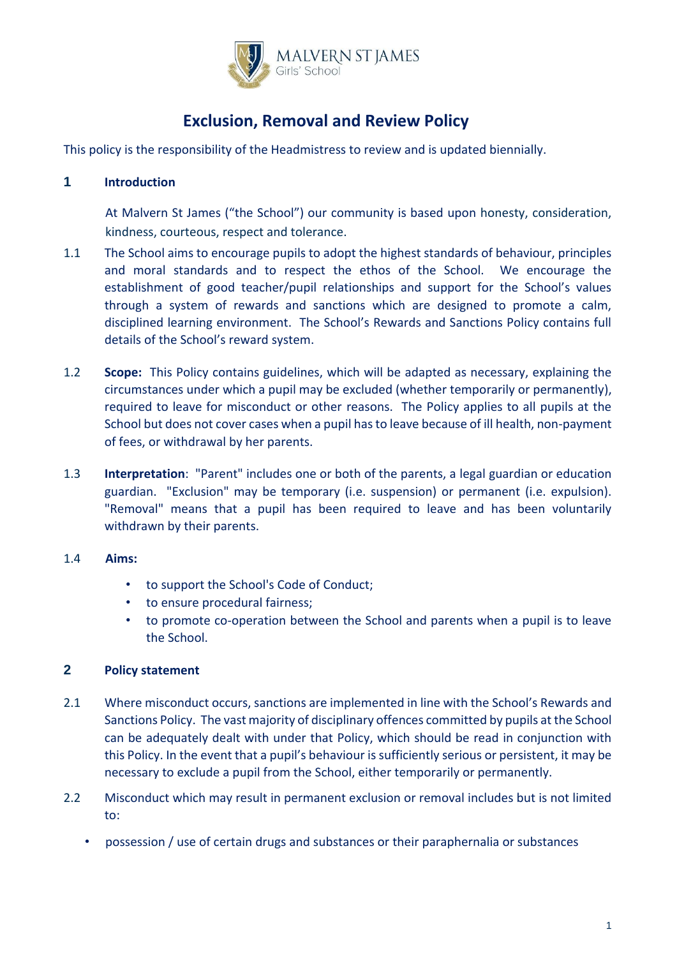

# **Exclusion, Removal and Review Policy**

This policy is the responsibility of the Headmistress to review and is updated biennially.

## **1 Introduction**

At Malvern St James ("the School") our community is based upon honesty, consideration, kindness, courteous, respect and tolerance.

- 1.1 The School aims to encourage pupils to adopt the highest standards of behaviour, principles and moral standards and to respect the ethos of the School. We encourage the establishment of good teacher/pupil relationships and support for the School's values through a system of rewards and sanctions which are designed to promote a calm, disciplined learning environment. The School's Rewards and Sanctions Policy contains full details of the School's reward system.
- 1.2 **Scope:** This Policy contains guidelines, which will be adapted as necessary, explaining the circumstances under which a pupil may be excluded (whether temporarily or permanently), required to leave for misconduct or other reasons. The Policy applies to all pupils at the School but does not cover cases when a pupil has to leave because of ill health, non-payment of fees, or withdrawal by her parents.
- 1.3 **Interpretation**: "Parent" includes one or both of the parents, a legal guardian or education guardian. "Exclusion" may be temporary (i.e. suspension) or permanent (i.e. expulsion). "Removal" means that a pupil has been required to leave and has been voluntarily withdrawn by their parents.
- 1.4 **Aims:** 
	- to support the School's Code of Conduct;
	- to ensure procedural fairness;
	- to promote co-operation between the School and parents when a pupil is to leave the School.

## **2 Policy statement**

- 2.1 Where misconduct occurs, sanctions are implemented in line with the School's Rewards and Sanctions Policy. The vast majority of disciplinary offences committed by pupils at the School can be adequately dealt with under that Policy, which should be read in conjunction with this Policy. In the event that a pupil's behaviour is sufficiently serious or persistent, it may be necessary to exclude a pupil from the School, either temporarily or permanently.
- 2.2 Misconduct which may result in permanent exclusion or removal includes but is not limited to:
	- possession / use of certain drugs and substances or their paraphernalia or substances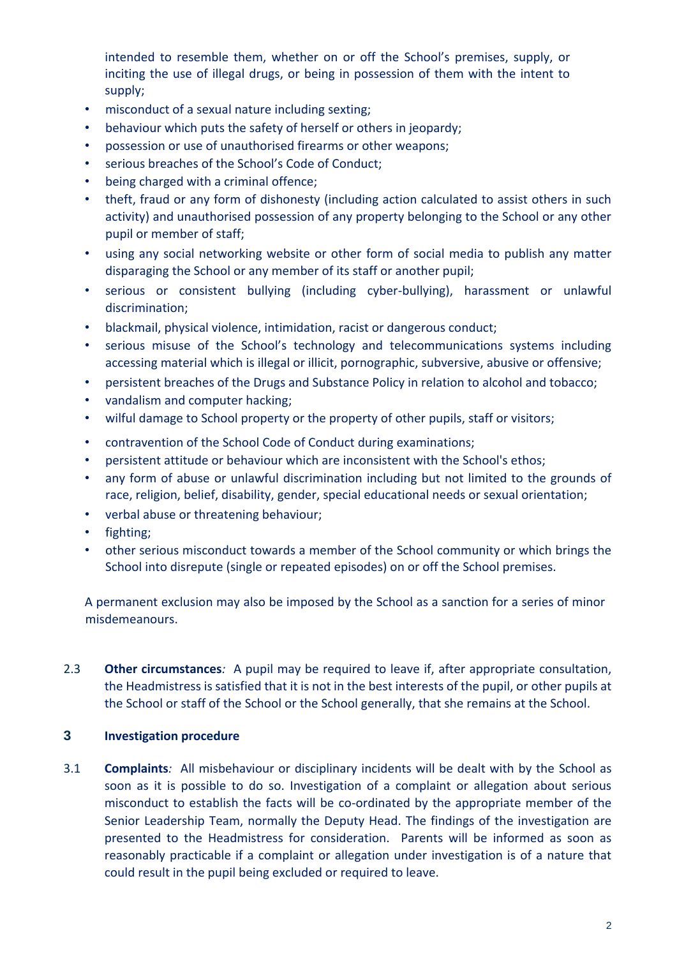intended to resemble them, whether on or off the School's premises, supply, or inciting the use of illegal drugs, or being in possession of them with the intent to supply;

- misconduct of a sexual nature including sexting;
- behaviour which puts the safety of herself or others in jeopardy;
- possession or use of unauthorised firearms or other weapons;
- serious breaches of the School's Code of Conduct;
- being charged with a criminal offence;
- theft, fraud or any form of dishonesty (including action calculated to assist others in such activity) and unauthorised possession of any property belonging to the School or any other pupil or member of staff;
- using any social networking website or other form of social media to publish any matter disparaging the School or any member of its staff or another pupil;
- serious or consistent bullying (including cyber-bullying), harassment or unlawful discrimination;
- blackmail, physical violence, intimidation, racist or dangerous conduct;
- serious misuse of the School's technology and telecommunications systems including accessing material which is illegal or illicit, pornographic, subversive, abusive or offensive;
- persistent breaches of the Drugs and Substance Policy in relation to alcohol and tobacco;
- vandalism and computer hacking;
- wilful damage to School property or the property of other pupils, staff or visitors;
- contravention of the School Code of Conduct during examinations;
- persistent attitude or behaviour which are inconsistent with the School's ethos;
- any form of abuse or unlawful discrimination including but not limited to the grounds of race, religion, belief, disability, gender, special educational needs or sexual orientation;
- verbal abuse or threatening behaviour;
- fighting;
- other serious misconduct towards a member of the School community or which brings the School into disrepute (single or repeated episodes) on or off the School premises.

A permanent exclusion may also be imposed by the School as a sanction for a series of minor misdemeanours.

2.3 **Other circumstances***:* A pupil may be required to leave if, after appropriate consultation, the Headmistress is satisfied that it is not in the best interests of the pupil, or other pupils at the School or staff of the School or the School generally, that she remains at the School.

## **3 Investigation procedure**

3.1 **Complaints***:* All misbehaviour or disciplinary incidents will be dealt with by the School as soon as it is possible to do so. Investigation of a complaint or allegation about serious misconduct to establish the facts will be co-ordinated by the appropriate member of the Senior Leadership Team, normally the Deputy Head. The findings of the investigation are presented to the Headmistress for consideration. Parents will be informed as soon as reasonably practicable if a complaint or allegation under investigation is of a nature that could result in the pupil being excluded or required to leave.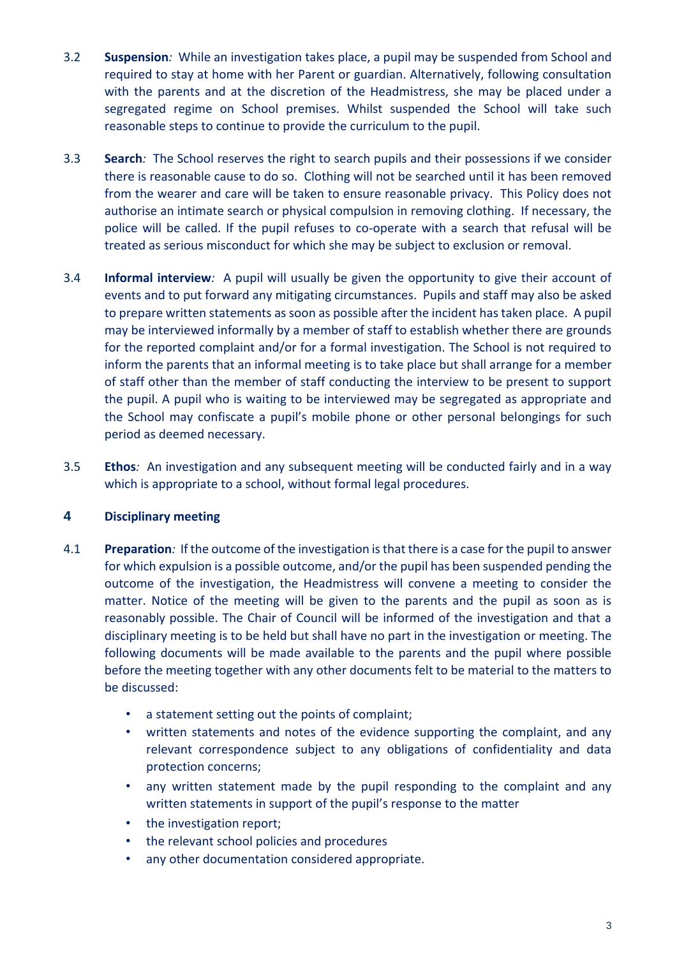- 3.2 **Suspension***:* While an investigation takes place, a pupil may be suspended from School and required to stay at home with her Parent or guardian. Alternatively, following consultation with the parents and at the discretion of the Headmistress, she may be placed under a segregated regime on School premises. Whilst suspended the School will take such reasonable steps to continue to provide the curriculum to the pupil.
- 3.3 **Search***:* The School reserves the right to search pupils and their possessions if we consider there is reasonable cause to do so. Clothing will not be searched until it has been removed from the wearer and care will be taken to ensure reasonable privacy. This Policy does not authorise an intimate search or physical compulsion in removing clothing. If necessary, the police will be called. If the pupil refuses to co-operate with a search that refusal will be treated as serious misconduct for which she may be subject to exclusion or removal.
- 3.4 **Informal interview***:* A pupil will usually be given the opportunity to give their account of events and to put forward any mitigating circumstances. Pupils and staff may also be asked to prepare written statements as soon as possible after the incident has taken place. A pupil may be interviewed informally by a member of staff to establish whether there are grounds for the reported complaint and/or for a formal investigation. The School is not required to inform the parents that an informal meeting is to take place but shall arrange for a member of staff other than the member of staff conducting the interview to be present to support the pupil. A pupil who is waiting to be interviewed may be segregated as appropriate and the School may confiscate a pupil's mobile phone or other personal belongings for such period as deemed necessary.
- 3.5 **Ethos***:* An investigation and any subsequent meeting will be conducted fairly and in a way which is appropriate to a school, without formal legal procedures.

## **4 Disciplinary meeting**

- 4.1 **Preparation***:* If the outcome of the investigation is that there is a case for the pupil to answer for which expulsion is a possible outcome, and/or the pupil has been suspended pending the outcome of the investigation, the Headmistress will convene a meeting to consider the matter. Notice of the meeting will be given to the parents and the pupil as soon as is reasonably possible. The Chair of Council will be informed of the investigation and that a disciplinary meeting is to be held but shall have no part in the investigation or meeting. The following documents will be made available to the parents and the pupil where possible before the meeting together with any other documents felt to be material to the matters to be discussed:
	- a statement setting out the points of complaint;
	- written statements and notes of the evidence supporting the complaint, and any relevant correspondence subject to any obligations of confidentiality and data protection concerns;
	- any written statement made by the pupil responding to the complaint and any written statements in support of the pupil's response to the matter
	- the investigation report;
	- the relevant school policies and procedures
	- any other documentation considered appropriate.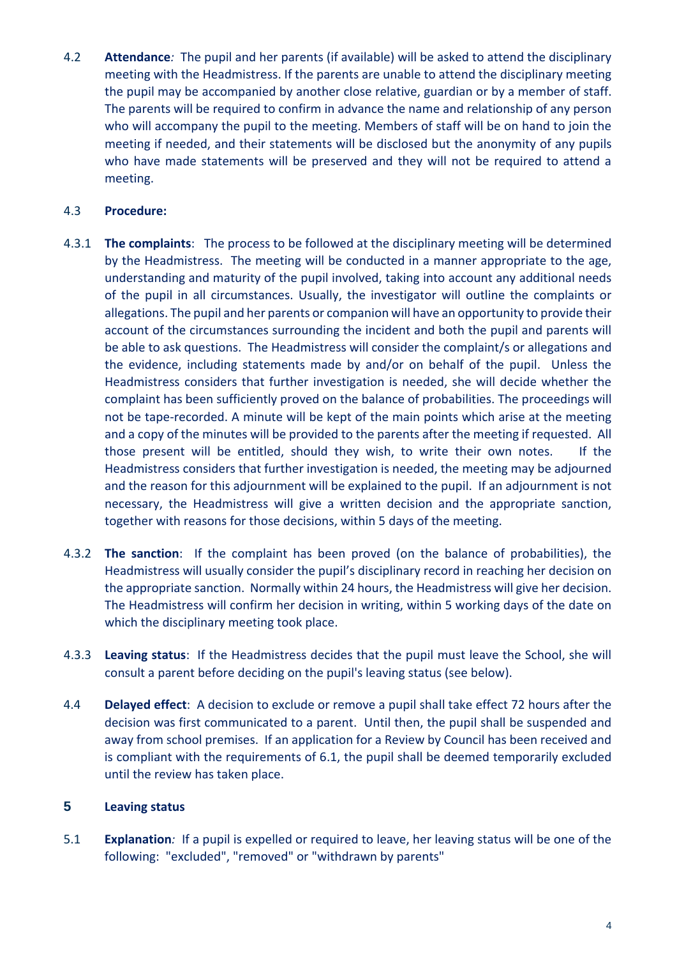4.2 **Attendance***:* The pupil and her parents (if available) will be asked to attend the disciplinary meeting with the Headmistress. If the parents are unable to attend the disciplinary meeting the pupil may be accompanied by another close relative, guardian or by a member of staff. The parents will be required to confirm in advance the name and relationship of any person who will accompany the pupil to the meeting. Members of staff will be on hand to join the meeting if needed, and their statements will be disclosed but the anonymity of any pupils who have made statements will be preserved and they will not be required to attend a meeting.

#### 4.3 **Procedure:**

- 4.3.1 **The complaints**: The process to be followed at the disciplinary meeting will be determined by the Headmistress. The meeting will be conducted in a manner appropriate to the age, understanding and maturity of the pupil involved, taking into account any additional needs of the pupil in all circumstances. Usually, the investigator will outline the complaints or allegations. The pupil and her parents or companion will have an opportunity to provide their account of the circumstances surrounding the incident and both the pupil and parents will be able to ask questions. The Headmistress will consider the complaint/s or allegations and the evidence, including statements made by and/or on behalf of the pupil. Unless the Headmistress considers that further investigation is needed, she will decide whether the complaint has been sufficiently proved on the balance of probabilities. The proceedings will not be tape-recorded. A minute will be kept of the main points which arise at the meeting and a copy of the minutes will be provided to the parents after the meeting if requested. All those present will be entitled, should they wish, to write their own notes. If the Headmistress considers that further investigation is needed, the meeting may be adjourned and the reason for this adjournment will be explained to the pupil. If an adjournment is not necessary, the Headmistress will give a written decision and the appropriate sanction, together with reasons for those decisions, within 5 days of the meeting.
- 4.3.2 **The sanction**: If the complaint has been proved (on the balance of probabilities), the Headmistress will usually consider the pupil's disciplinary record in reaching her decision on the appropriate sanction. Normally within 24 hours, the Headmistress will give her decision. The Headmistress will confirm her decision in writing, within 5 working days of the date on which the disciplinary meeting took place.
- 4.3.3 **Leaving status**: If the Headmistress decides that the pupil must leave the School, she will consult a parent before deciding on the pupil's leaving status (see below).
- 4.4 **Delayed effect**: A decision to exclude or remove a pupil shall take effect 72 hours after the decision was first communicated to a parent. Until then, the pupil shall be suspended and away from school premises. If an application for a Review by Council has been received and is compliant with the requirements of 6.1, the pupil shall be deemed temporarily excluded until the review has taken place.

#### **5 Leaving status**

5.1 **Explanation***:* If a pupil is expelled or required to leave, her leaving status will be one of the following: "excluded", "removed" or "withdrawn by parents"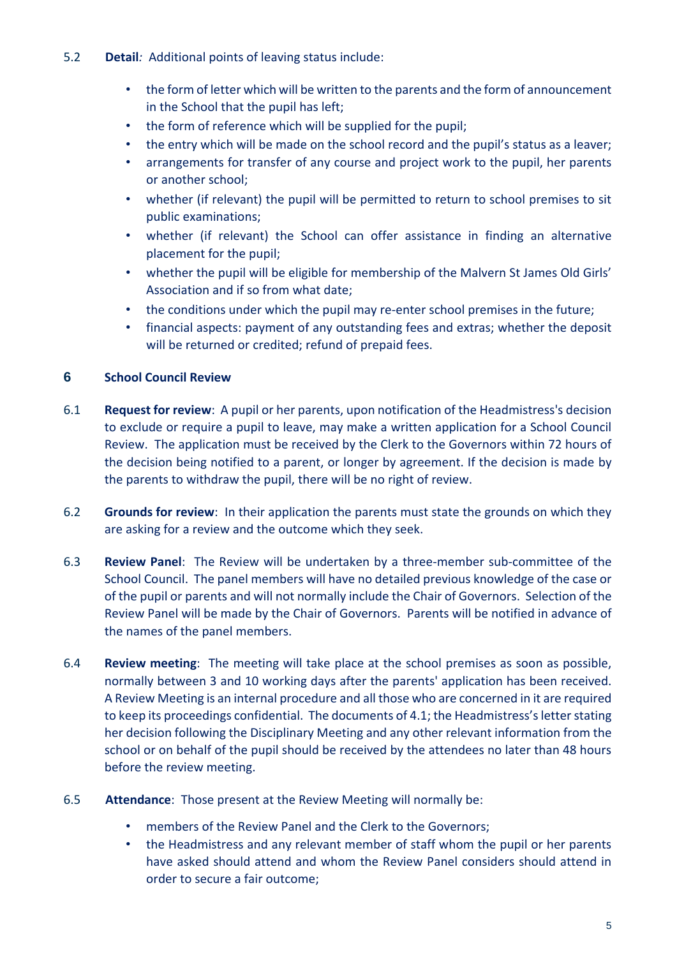- 5.2 **Detail***:* Additional points of leaving status include:
	- the form of letter which will be written to the parents and the form of announcement in the School that the pupil has left;
	- the form of reference which will be supplied for the pupil;
	- the entry which will be made on the school record and the pupil's status as a leaver;
	- arrangements for transfer of any course and project work to the pupil, her parents or another school;
	- whether (if relevant) the pupil will be permitted to return to school premises to sit public examinations;
	- whether (if relevant) the School can offer assistance in finding an alternative placement for the pupil;
	- whether the pupil will be eligible for membership of the Malvern St James Old Girls' Association and if so from what date;
	- the conditions under which the pupil may re-enter school premises in the future;
	- financial aspects: payment of any outstanding fees and extras; whether the deposit will be returned or credited; refund of prepaid fees.

## **6 School Council Review**

- 6.1 **Request for review**: A pupil or her parents, upon notification of the Headmistress's decision to exclude or require a pupil to leave, may make a written application for a School Council Review. The application must be received by the Clerk to the Governors within 72 hours of the decision being notified to a parent, or longer by agreement. If the decision is made by the parents to withdraw the pupil, there will be no right of review.
- 6.2 **Grounds for review**: In their application the parents must state the grounds on which they are asking for a review and the outcome which they seek.
- 6.3 **Review Panel**: The Review will be undertaken by a three-member sub-committee of the School Council. The panel members will have no detailed previous knowledge of the case or of the pupil or parents and will not normally include the Chair of Governors. Selection of the Review Panel will be made by the Chair of Governors. Parents will be notified in advance of the names of the panel members.
- 6.4 **Review meeting**: The meeting will take place at the school premises as soon as possible, normally between 3 and 10 working days after the parents' application has been received. A Review Meeting is an internal procedure and all those who are concerned in it are required to keep its proceedings confidential. The documents of 4.1; the Headmistress's letter stating her decision following the Disciplinary Meeting and any other relevant information from the school or on behalf of the pupil should be received by the attendees no later than 48 hours before the review meeting.
- 6.5 **Attendance**: Those present at the Review Meeting will normally be:
	- members of the Review Panel and the Clerk to the Governors;
	- the Headmistress and any relevant member of staff whom the pupil or her parents have asked should attend and whom the Review Panel considers should attend in order to secure a fair outcome;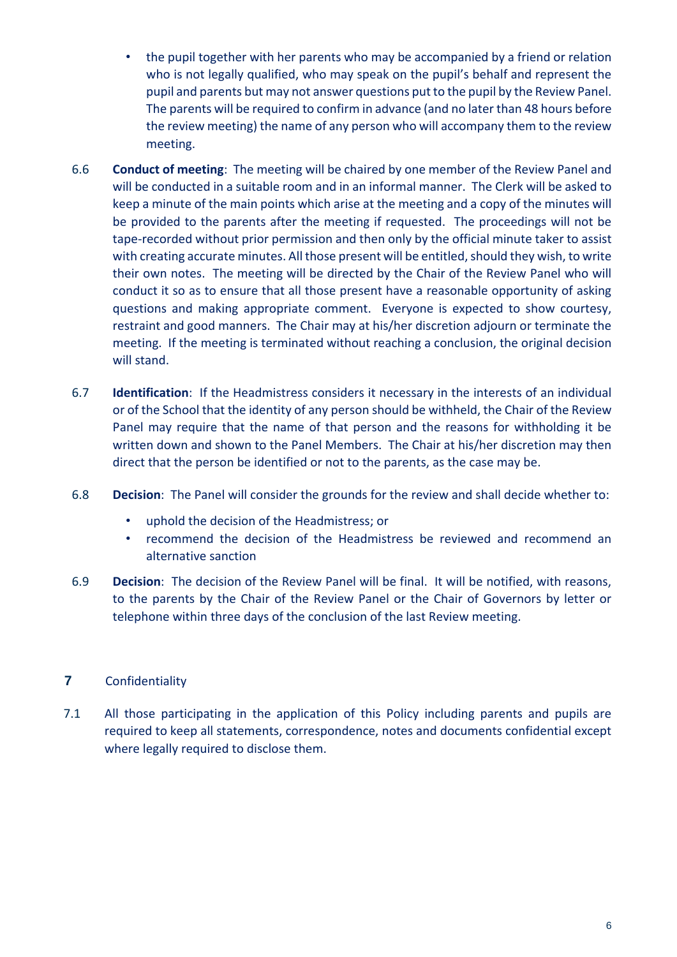- the pupil together with her parents who may be accompanied by a friend or relation who is not legally qualified, who may speak on the pupil's behalf and represent the pupil and parents but may not answer questions put to the pupil by the Review Panel. The parents will be required to confirm in advance (and no later than 48 hours before the review meeting) the name of any person who will accompany them to the review meeting.
- 6.6 **Conduct of meeting**: The meeting will be chaired by one member of the Review Panel and will be conducted in a suitable room and in an informal manner. The Clerk will be asked to keep a minute of the main points which arise at the meeting and a copy of the minutes will be provided to the parents after the meeting if requested. The proceedings will not be tape-recorded without prior permission and then only by the official minute taker to assist with creating accurate minutes. All those present will be entitled, should they wish, to write their own notes. The meeting will be directed by the Chair of the Review Panel who will conduct it so as to ensure that all those present have a reasonable opportunity of asking questions and making appropriate comment. Everyone is expected to show courtesy, restraint and good manners. The Chair may at his/her discretion adjourn or terminate the meeting. If the meeting is terminated without reaching a conclusion, the original decision will stand.
- 6.7 **Identification**: If the Headmistress considers it necessary in the interests of an individual or of the School that the identity of any person should be withheld, the Chair of the Review Panel may require that the name of that person and the reasons for withholding it be written down and shown to the Panel Members. The Chair at his/her discretion may then direct that the person be identified or not to the parents, as the case may be.
- 6.8 **Decision**: The Panel will consider the grounds for the review and shall decide whether to:
	- uphold the decision of the Headmistress; or
	- recommend the decision of the Headmistress be reviewed and recommend an alternative sanction
- 6.9 **Decision**: The decision of the Review Panel will be final. It will be notified, with reasons, to the parents by the Chair of the Review Panel or the Chair of Governors by letter or telephone within three days of the conclusion of the last Review meeting.

## **7** Confidentiality

7.1 All those participating in the application of this Policy including parents and pupils are required to keep all statements, correspondence, notes and documents confidential except where legally required to disclose them.